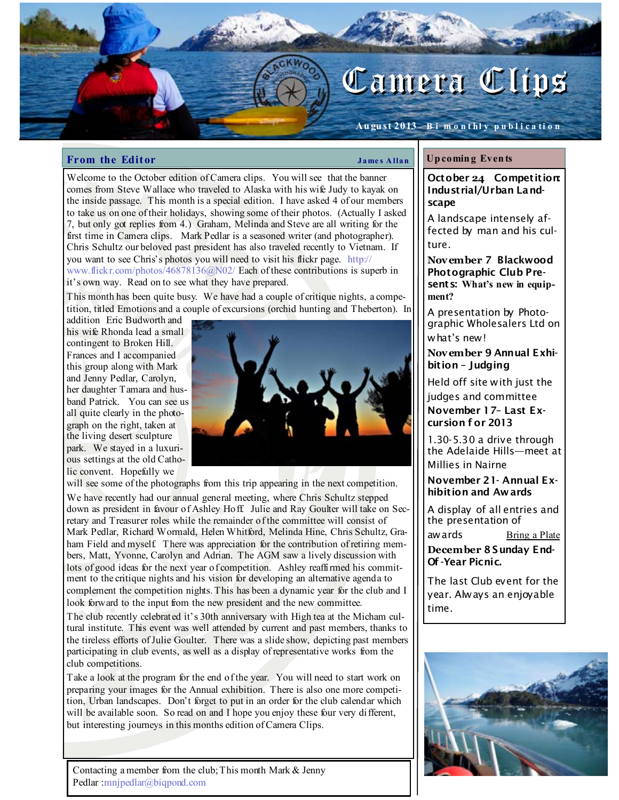

## From the Editor James Allan

Welcome to the October edition of Camera clips. You will see that the banner comes from Steve Wallace who traveled to Alaska with his wife Judy to kayak on the inside passage. This month is a special edition. I have asked 4 of our members to take us on one of their holidays, showing some of their photos. (Actually I asked 7, but only got replies from 4.) Graham, Melinda and Steve are all writing for the first time in Camera clips. Mark Pedlar is a seasoned writer (and photographer). Chris Schultz our beloved past president has also traveled recently to Vietnam. If you want to see Chris's photos you will need to visit his flickr page. http:// www.flickr.com/photos/46878136@N02/ Each of these contributions is superb in it's own way. Read on to see what they have prepared.

This month has been quite busy. We have had a couple of critique nights, a competition, titled Emotions and a couple of excursions (orchid hunting and Theberton). In

addition Eric Budworth and his wife Rhonda lead a small contingent to Broken Hill. Frances and I accompanied this group along with Mark and Jenny Pedlar, Carolyn, her daughter Tamara and husband Patrick. You can see us all quite clearly in the photograph on the right, taken at the living desert sculpture park. We stayed in a luxurious settings at the old Catholic convent. Hopefully we



will see some of the photographs from this trip appearing in the next competition. We have recently had our annual general meeting, where Chris Schultz stepped down as president in favour of Ashley Hoff. Julie and Ray Goulter will take on Secretary and Treasurer roles while the remainder of the committee will consist of Mark Pedlar, Richard Wormald, Helen Whitford, Melinda Hine, Chris Schultz, Graham Field and myself. There was appreciation for the contribution of retiring members, Matt, Yvonne, Carolyn and Adrian. The AGM saw a lively discussion with lots of good ideas for the next year of competition. Ashley reaffirmed his commitment to the critique nights and his vision for developing an alternative agenda to complement the competition nights. This has been a dynamic year for the club and I look forward to the input from the new president and the new committee.

The club recently celebrated it's 30th anniversary with High tea at the Micham cultural institute. This event was well attended by current and past members, thanks to the tireless efforts of Julie Goulter. There was a slide show, depicting past members participating in club events, as well as a display of representative works from the club competitions.

Take a look at the program for the end of the year. You will need to start work on preparing your images for the Annual exhibition. There is also one more competition, Urban landscapes. Don't forget to put in an order for the club calendar which will be available soon. So read on and I hope you enjoy these four very different, but interesting journeys in this months edition of Camera Clips.

Contacting a member from the club; This month Mark & Jenny Pedlar :mnjpedlar@biqpond.com

### Up comin g Even ts

October 24 Competition: Industrial/Urban Landscape

A landscape intensely affected by man and his culture.

Nov ember 7 Blackwood Photographic Club Presents: What's new in equipment?

A presentation by Photographic Wholesalers Ltd on what's new!

Nov ember 9 Annual Exhibition – Judging

Held off site with just the

judges and committee November 17– Last Ex-

cursion f or 2013

1.30-5.30 a drive through the Adelaide Hills—meet at Millies in Nairne

November 21- Annual Exhibition and Awards

A display of all entries and the presentation of

aw ards Bring a Plate

December 8 Sunday End-Of -Year Picnic.

The last Club event for the year. Always an enjoyable time.

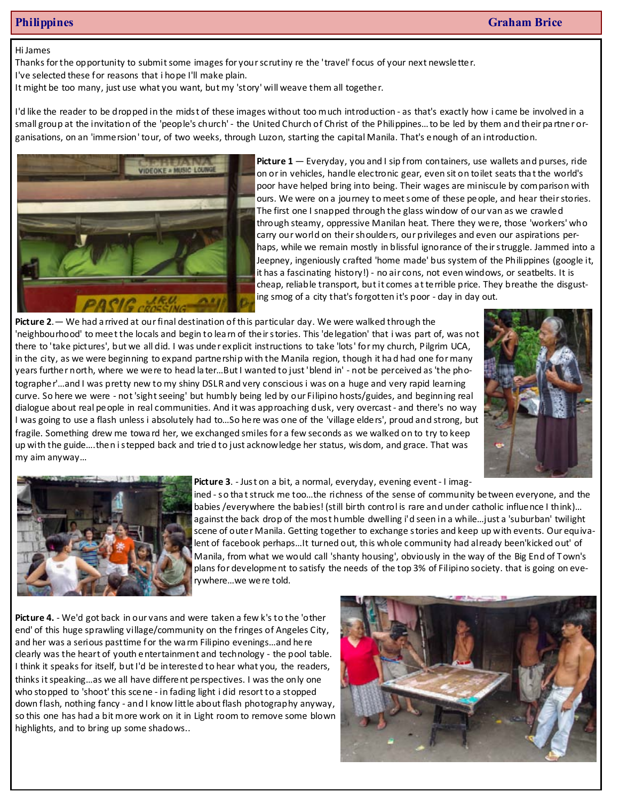## Philippines Graham Brice

### Hi James

Thanks for the opportunity to submit some images for your scrutiny re the 'travel' focus of your next newsletter. I've selected these for reasons that i hope I'll make plain.

It might be too many, just use what you want, but my 'story' will weave them all together.

I'd like the reader to be dropped in the midst of these images without too much introduction - as that's exactly how i came be involved in a small group at the invitation of the 'people's church' - the United Church of Christ of the Philippines…to be led by them and their pa rtner organisations, on an 'immersion' tour, of two weeks, through Luzon, starting the capital Manila. That's enough of an introduction.



Picture 1 – Everyday, you and I sip from containers, use wallets and purses, ride on or in vehicles, handle electronic gear, even sit on toilet seats tha t the world's poor have helped bring into being. Their wages are miniscule by comparison with ours. We were on a journey to meet some of these people, and hear their stories. The first one I snapped through the glass window of our van as we crawled through steamy, oppressive Manilan heat. There they were, those 'workers' who carry our world on their shoulders, our privileges and even our aspirations perhaps, while we remain mostly in blissful ignorance of their struggle. Jammed into a Jeepney, ingeniously crafted 'home made' bus system of the Philippines (google it, it has a fascinating history!) - no air cons, not even windows, or seatbelts. It is cheap, reliable transport, but it comes a t terrible price. They breathe the disgusting smog of a city that's forgotten it's poor - day in day out.

Picture 2. — We had a rrived at our final destination of this particular day. We were walked through the 'neighbourhood' to meet the locals and begin to lea rn of their stories. This 'delegation' that i was part of, was not there to 'take pictures', but we all did. I was under explicit instructions to take 'lots' for my church, Pilgrim UCA, in the city, as we were beginning to expand partnership with the Manila region, though it ha d had one for many years further north, where we were to head la ter…But I wanted to just 'blend in' - not be perceived as 'the photographer'…and I was pretty new to my shiny DSLR and very conscious i was on a huge and very rapid learning curve. So here we were - not 'sight seeing' but humbly being led by our Filipino hosts/guides, and beginning real dialogue about real people in real communities. And it was approaching dusk, very overcast - and there's no way I was going to use a flash unless i absolutely had to…So here was one of the 'village elders', proud and strong, but fragile. Something drew me towa rd her, we exchanged smiles for a few seconds as we walked on to try to keep up with the guide….then i stepped back and tried to just acknowledge her status, wisdom, and grace. That was my aim anyway…





### Picture 3. - Just on a bit, a normal, everyday, evening event - I imag-

ined - so tha t struck me too…the richness of the sense of community between everyone, and the babies /everywhere the babies! (still birth control is rare and under catholic influence I think)... against the back drop of the most humble dwelling i'd seen in a while…just a 'suburban' twilight scene of outer Manila. Getting together to exchange stories and keep up with events. Our equivalent of facebook perhaps…It turned out, this whole community had already been'kicked out' of Manila, from what we would call 'shanty housing', obviously in the way of the Big End of Town's plans for development to satisfy the needs of the top 3% of Filipino society. that is going on everywhere…we were told.

Picture 4. - We'd got back in our vans and were taken a few k's to the 'other end' of this huge sprawling village/community on the fringes of Angeles City, and her was a serious pasttime for the wa rm Filipino evenings…and here clearly was the heart of youth entertainment and technology - the pool table. I think it speaks for itself, but I'd be interested to hear what you, the readers, thinks it speaking…as we all have different perspectives. I was the only one who stopped to 'shoot' this scene - in fading light i did resort to a stopped down flash, nothing fancy - and I know little about flash photography anyway, so this one has had a bit more work on it in Light room to remove some blown highlights, and to bring up some shadows..

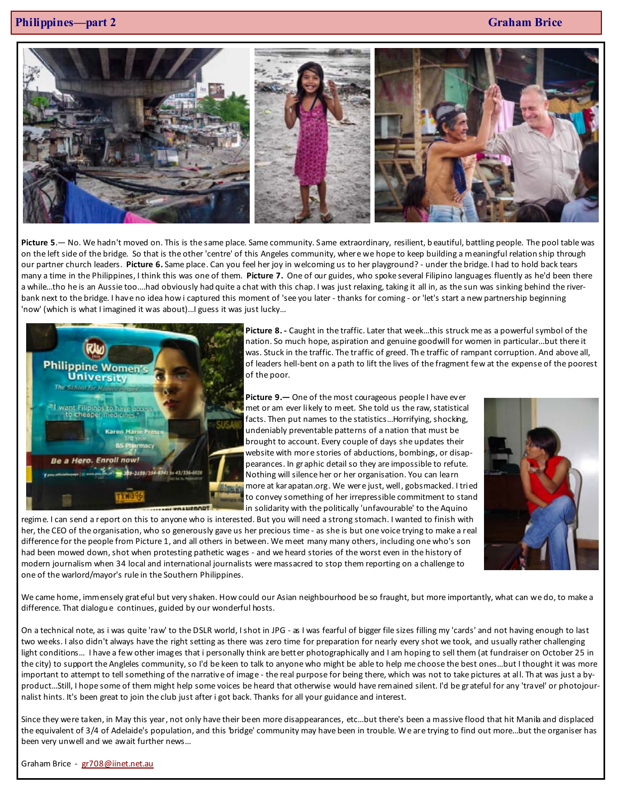

Picture 5.— No. We hadn't moved on. This is the same place. Same community. Same extraordinary, resilient, beautiful, battling people. The pool table was on the left side of the bridge. So that is the other 'centre' of this Angeles community, where we hope to keep building a meaningful relation ship through our partner church leaders. Picture 6. Same place. Can you feel her joy in welcoming us to her playground? - under the bridge. I had to hold back tears many a time in the Philippines, I think this was one of them. Picture 7. One of our guides, who spoke several Filipino languages fluently as he'd been there a while...tho he is an Aussie too....had obviously had quite a chat with this chap. I was just relaxing, taking it all in, as the sun was sinking behind the riverbank next to the bridge. I have no idea how i captured this moment of 'see you later - thanks for coming - or 'let's start a new partnership beginning 'now' (which is what I imagined it was about)…I guess it was just lucky…



Picture 8. - Caught in the traffic. Later that week...this struck me as a powerful symbol of the nation. So much hope, aspiration and genuine goodwill for women in particular…but there it was. Stuck in the traffic. The traffic of greed. Th e traffic of rampant corruption. And above all, of leaders hell-bent on a path to lift the lives of the fragment few at the expense of the poorest of the poor.

Picture 9. - One of the most courageous people I have ever met or am ever likely to meet. She told us the raw, statistical facts. Then put names to the statistics…Horrifying, shocking, undeniably preventable patterns of a nation that must be brought to account. Every couple of days she updates their website with more stories of abductions, bombings, or disappearances. In graphic detail so they are impossible to refute. Nothing will silence her or her organisation. You can learn more at karapatan.org. We were just, well, gobsmacked. I tried to convey something of her irrepressible commitment to stand in solidarity with the politically 'unfavourable' to the Aquino



regime. I can send a report on this to anyone who is interested. But you will need a strong stomach. I wanted to finish with her, the CEO of the organisation, who so generously gave us her precious time - as she is but one voice trying to make a real difference for the people from Picture 1, and all others in between. We meet many many others, including one who's son had been mowed down, shot when protesting pathetic wages - and we heard stories of the worst even in the history of modern journalism when 34 local and international journalists were massacred to stop them reporting on a challenge to one of the warlord/mayor's rule in the Southern Philippines.

We came home, immensely grateful but very shaken. How could our Asian neighbourhood be so fraught, but more importantly, what can we do, to make a difference. That dialogu e continues, guided by our wonderful hosts.

On a technical note, as i was quite 'raw' to the DSLR world, I shot in JPG - as I was fearful of bigger file sizes filling my 'cards' and not having enough to last two weeks. I also didn't always have the right setting as there was zero time for preparation for nearly every shot we took, and usually rather challenging light conditions… I have a few other images that i personally think are better photographically and I am hoping to sell them (at fundraiser on October 25 in the city) to support the Angleles community, so I'd be keen to talk to anyone who might be able to help me choose the best ones…but I thought it was more important to attempt to tell something of the narrative of image - the real purpose for being there, which was not to take pictures at all. Th at was just a byproduct…Still, I hope some of them might help some voices be heard that otherwise would have remained silent. I'd be grateful for any 'travel' or photojournalist hints. It's been great to join the club just after i got back. Thanks for all your guidance and interest.

Since they were taken, in May this year, not only have their been more disappearances, etc…but there's been a massive flood that hit Manila and displaced the equivalent of 3/4 of Adelaide's population, and this 'bridge' community may have been in trouble. W e are trying to find out more…but the organiser has been very unwell and we await further news…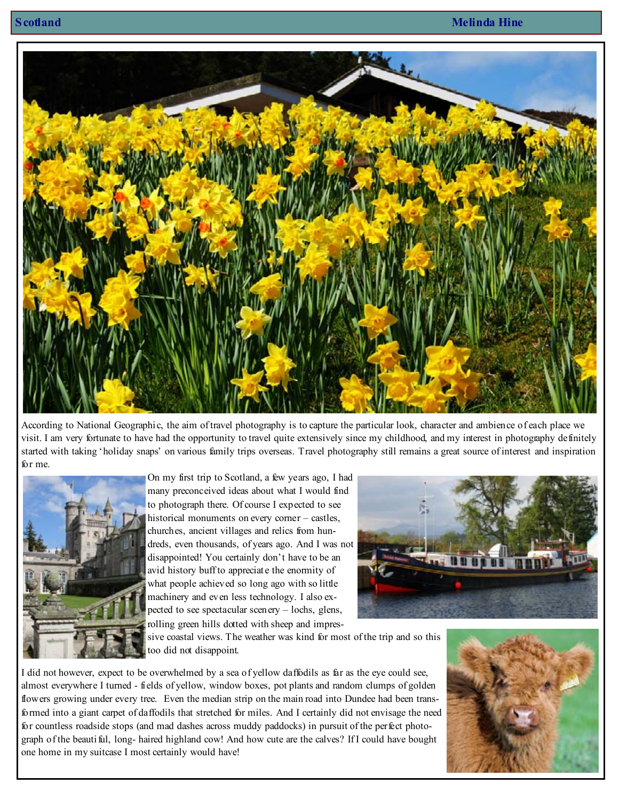

According to National Geographic, the aim of travel photography is to capture the particular look, character and ambience of each place we visit. I am very fortunate to have had the opportunity to travel quite extensively since my childhood, and my interest in photography definitely started with taking 'holiday snaps' on various family trips overseas. Travel photography still remains a great source of interest and inspiration for me.



On my first trip to Scotland, a few years ago, I had many preconceived ideas about what I would find to photograph there. Of course I expected to see historical monuments on every corner – castles, churches, ancient villages and relics from hundreds, even thousands, of years ago. And I was not disappointed! You certainly don't have to be an avid history buff to appreciate the enormity of what people achieved so long ago with so little machinery and even less technology. I also expected to see spectacular scenery – lochs, glens, rolling green hills dotted with sheep and impres-



sive coastal views. The weather was kind for most of the trip and so this too did not disappoint.

I did not however, expect to be overwhelmed by a sea of yellow daffodils as far as the eye could see, almost everywhere I turned - fields of yellow, window boxes, pot plants and random clumps of golden flowers growing under every tree. Even the median strip on the main road into Dundee had been transformed into a giant carpet of daffodils that stretched for miles. And I certainly did not envisage the need for countless roadside stops (and mad dashes across muddy paddocks) in pursuit of the perfect photograph of the beautiful, long- haired highland cow! And how cute are the calves? If I could have bought one home in my suitcase I most certainly would have!

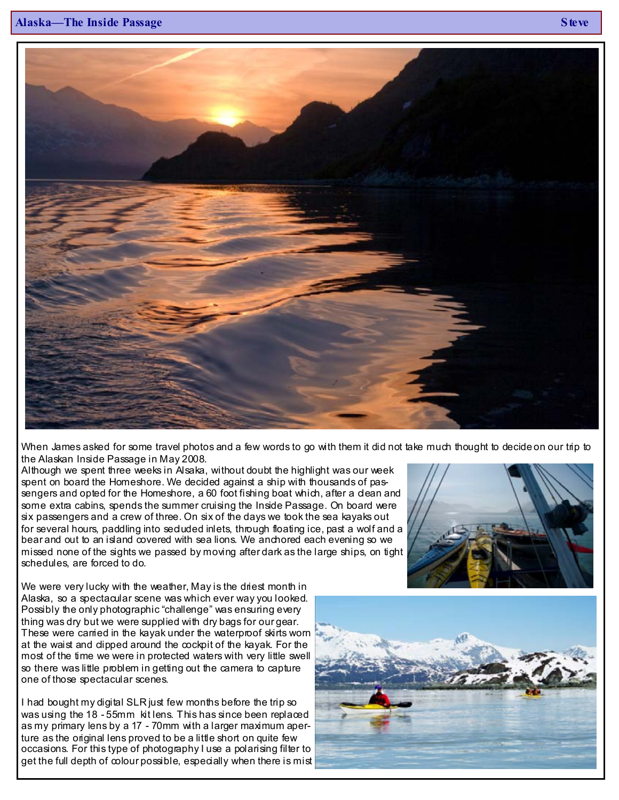

When James asked for some travel photos and a few words to go with them it did not take much thought to decide on our trip to the Alaskan Inside Passage in May 2008.

Although we spent three weeks in Alsaka, without doubt the highlight was our week spent on board the Homeshore. We decided against a ship with thousands of passengers and opted for the Homeshore, a 60 foot fishing boat which, after a clean and some extra cabins, spends the summer cruising the Inside Passage. On board were six passengers and a crew of three. On six of the days we took the sea kayaks out for several hours, paddling into seduded inlets, through floating ice, past a wolf and a bear and out to an island covered with sea lions. We anchored each evening so we missed none of the sights we passed by moving after dark as the large ships, on tight schedules, are forced to do.



We were very lucky with the weather, May is the driest month in Alaska, so a spectacular scene was which ever way you looked. Possibly the only photographic "challenge" was ensuring every thing was dry but we were supplied with dry bags for our gear. These were carried in the kayak under the waterproof skirts worn at the waist and clipped around the cockpit of the kayak. For the most of the time we were in protected waters with very little swell so there was little problem in getting out the camera to capture one of those spectacular scenes.

I had bought my digital SLR just few months before the trip so was using the 18 - 55mm kit lens. This has since been replaced as my primary lens by a 17 - 70mm with a larger maximum aperture as the original lens proved to be a little short on quite few occasions. For this type of photography I use a polarising filter to get the full depth of colour possible, especially when there is mist

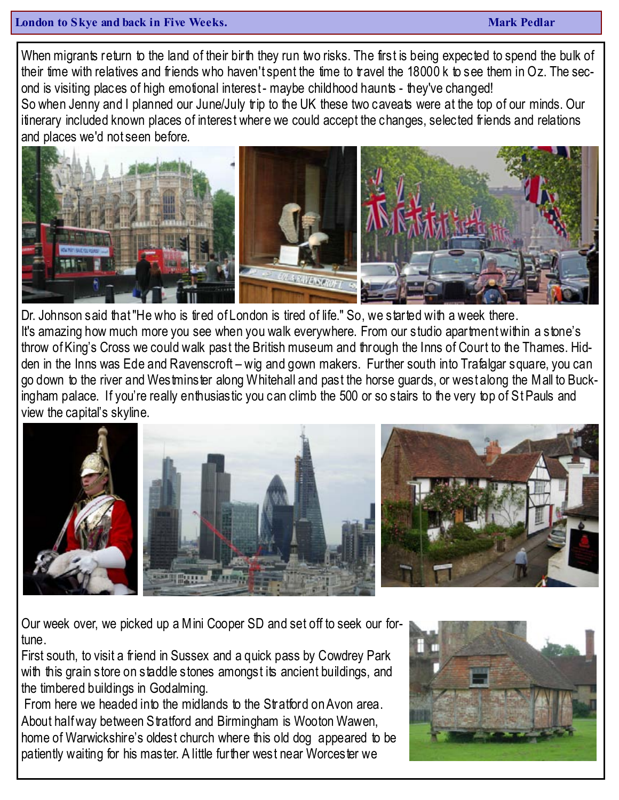## **London to Skye and back in Five Weeks.** Mark Pedlar **Mark Pedlar** Mark Pedlar

When migrants return to the land of their birth they run two risks. The first is being expected to spend the bulk of their time with relatives and friends who haven't spent the time to travel the 18000 k to see them in Oz. The second is visiting places of high emotional interest - maybe childhood haunts - they've changed! So when Jenny and I planned our June/July trip to the UK these two caveats were at the top of our minds. Our itinerary included known places of interest where we could accept the changes, selected friends and relations and places we'd not seen before.



Dr. Johnson said that "He who is tired of London is tired of life." So, we started with a week there. It's amazing how much more you see when you walk everywhere. From our studio apartment within a stone's throw of King's Cross we could walk past the British museum and through the Inns of Court to the Thames. Hidden in the Inns was Ede and Ravenscroft – wig and gown makers. Further south into Trafalgar square, you can go down to the river and Westminster along Whitehall and past the horse guards, or west along the Mall to Buckingham palace. If you're really enthusiastic you can climb the 500 or so stairs to the very top of St Pauls and view the capital's skyline.



Our week over, we picked up a Mini Cooper SD and set off to seek our fortune.

First south, to visit a friend in Sussex and a quick pass by Cowdrey Park with this grain store on staddle stones amongst its ancient buildings, and the timbered buildings in Godalming.

 From here we headed into the midlands to the Stratford on Avon area. About half way between Stratford and Birmingham is Wooton Wawen, home of Warwickshire's oldest church where this old dog appeared to be patiently waiting for his master. A little further west near Worcester we

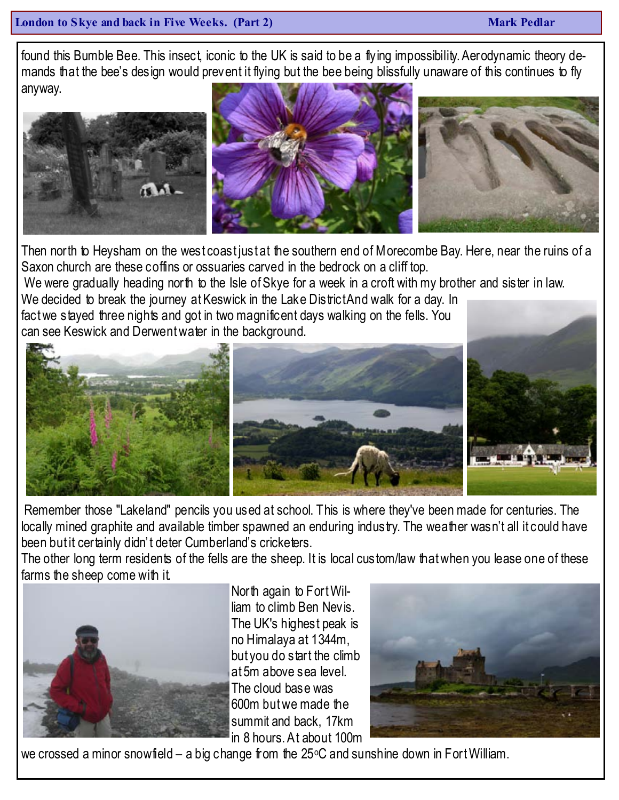## London to Skye and back in Five Weeks. (Part 2) Mark Pedlar Mark Pedlar

# found this Bumble Bee. This insect, iconic to the UK is said to be a flying impossibility. Aerodynamic theory demands that the bee's design would prevent it flying but the bee being blissfully unaware of this continues to fly anyway.



Then north to Heysham on the west coast just at the southern end of Morecombe Bay. Here, near the ruins of a Saxon church are these coffins or ossuaries carved in the bedrock on a cliff top.

We were gradually heading north to the Isle of Skye for a week in a croft with my brother and sister in law.

We decided to break the journey at Keswick in the Lake District And walk for a day. In fact we stayed three nights and got in two magnificent days walking on the fells. You can see Keswick and Derwent water in the background.



 Remember those "Lakeland" pencils you used at school. This is where they've been made for centuries. The locally mined graphite and available timber spawned an enduring industry. The weather wasn't all it could have been but it certainly didn't deter Cumberland's cricketers.

The other long term residents of the fells are the sheep. It is local custom/law that when you lease one of these farms the sheep come with it.



North again to Fort William to climb Ben Nevis. The UK's highest peak is no Himalaya at 1344m, but you do start the climb at 5m above sea level. The cloud base was 600m but we made the summit and back, 17km in 8 hours. At about 100m



we crossed a minor snowfield – a big change from the  $25^{\circ}$ C and sunshine down in Fort William.